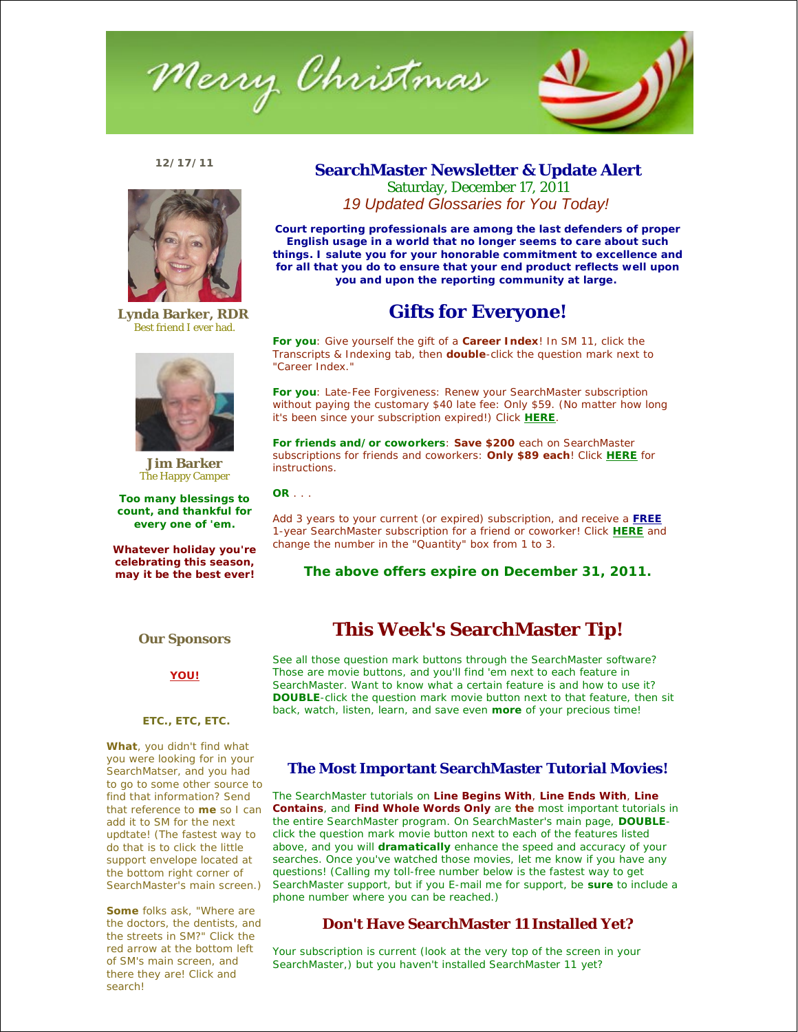

## **12/17/11**



**Lynda Barker, RDR**  Best friend I ever had.



**Jim Barker** The Happy Camper

**Too many blessings to count, and thankful for every one of 'em.**

**Whatever holiday you're celebrating this season, may it be the best ever!**

# **SearchMaster Newsletter & Update Alert** Saturday, December 17, 2011 *19 Updated Glossaries for You Today!*

**Court reporting professionals are among the last defenders of proper English usage in a world that no longer seems to care about such things. I salute you for your honorable commitment to excellence and for all that you do to ensure that your end product reflects well upon you and upon the reporting community at large.** 

# **Gifts for Everyone!**

**For you**: Give yourself the gift of a **Career Index**! In SM 11, click the Transcripts & Indexing tab, then **double**-click the question mark next to "Career Index."

**For you**: Late-Fee Forgiveness: Renew your SearchMaster subscription *without* paying the customary \$40 late fee: Only \$59. (No matter *how* long it's been since your subscription expired!) Click **HERE**.

**For friends and/or coworkers**: **Save \$200** each on SearchMaster subscriptions for friends and coworkers: **Only \$89 each**! Click **HERE** for instructions.

**OR** . . .

Add 3 years to your current (or expired) subscription, and receive a **FREE** 1-year SearchMaster subscription for a friend or coworker! Click **HERE** and change the number in the "Quantity" box from 1 to 3.

**The above offers expire on December 31, 2011.**

## **Our Sponsors**

**YOU!**

## **ETC., ETC, ETC.**

**What**, you didn't find what you were looking for in your SearchMatser, and you had to go to some *other* source to find that information? Send that reference to **me** so I can add it to SM for the next updtate! (The fastest way to do that is to click the little support envelope located at the bottom right corner of SearchMaster's main screen.)

**Some** folks ask, "Where are the doctors, the dentists, and the streets in SM?" Click the red arrow at the bottom left of SM's main screen, and there they are! Click and search!

# **This Week's SearchMaster Tip!**

See all those question mark buttons through the SearchMaster software? Those are movie buttons, and you'll find 'em next to each feature in SearchMaster. Want to know what a certain feature is and how to use it? *DOUBLE*-click the question mark movie button next to that feature, then sit back, watch, listen, learn, and save even *more* of your precious time!

## **The Most Important SearchMaster Tutorial Movies!**

The SearchMaster tutorials on **Line Begins With**, **Line Ends With**, **Line Contains**, and **Find Whole Words Only** are **the** most important tutorials in the entire SearchMaster program. On SearchMaster's main page, **DOUBLE**click the question mark movie button next to each of the features listed above, and you will *dramatically* enhance the speed and accuracy of your searches. Once you've watched those movies, let me know if you have any questions! (Calling my toll-free number below is the fastest way to get SearchMaster support, but if you E-mail me for support, be **sure** to include a phone number where you can be reached.)

## **Don't Have SearchMaster 11 Installed Yet?**

Your subscription is current (look at the very top of the screen in your SearchMaster,) but you haven't installed SearchMaster 11 yet?